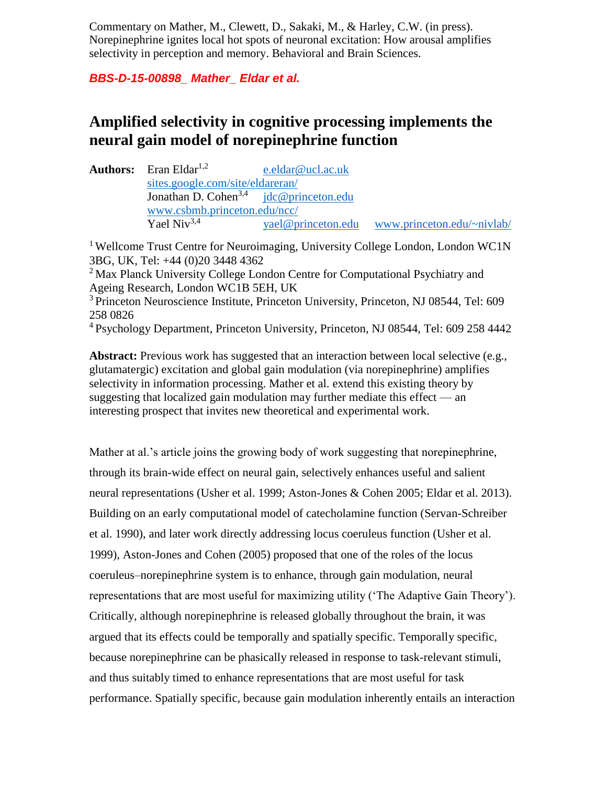Commentary on Mather, M., Clewett, D., Sakaki, M., & Harley, C.W. (in press). Norepinephrine ignites local hot spots of neuronal excitation: How arousal amplifies selectivity in perception and memory. Behavioral and Brain Sciences.

*BBS-D-15-00898\_ Mather\_ Eldar et al.*

## **Amplified selectivity in cognitive processing implements the neural gain model of norepinephrine function**

**Authors:** Eran Eldar<sup>1,2</sup> [e.eldar@ucl.ac.uk](mailto:e.eldar@ucl.ac.uk) [sites.google.com/site/eldareran/](https://sites.google.com/site/eldareran/)<br>Jonathan D. Cohen<sup>3,4</sup> idc@princeton.edu Jonathan D. Cohen<sup>3,4</sup> [www.csbmb.princeton.edu/ncc/](http://www.csbmb.princeton.edu/ncc/)  Yael Niv<sup>3,4</sup> [yael@princeton.edu](mailto:yael@princeton.edu) [www.princeton.edu/~nivlab/](http://www.princeton.edu/~nivlab/)

<sup>1</sup> Wellcome Trust Centre for Neuroimaging, University College London, London WC1N 3BG, UK, Tel: +44 (0)20 3448 4362 <sup>2</sup> Max Planck University College London Centre for Computational Psychiatry and Ageing Research, London WC1B 5EH, UK <sup>3</sup> Princeton Neuroscience Institute, Princeton University, Princeton, NJ 08544, Tel: 609 258 0826

<sup>4</sup>Psychology Department, Princeton University, Princeton, NJ 08544, Tel: 609 258 4442

Abstract: Previous work has suggested that an interaction between local selective (e.g., glutamatergic) excitation and global gain modulation (via norepinephrine) amplifies selectivity in information processing. Mather et al. extend this existing theory by suggesting that localized gain modulation may further mediate this effect — an interesting prospect that invites new theoretical and experimental work.

Mather at al.'s article joins the growing body of work suggesting that norepinephrine, through its brain-wide effect on neural gain, selectively enhances useful and salient neural representations (Usher et al. 1999; Aston-Jones & Cohen 2005; Eldar et al. 2013). Building on an early computational model of catecholamine function (Servan-Schreiber et al. 1990), and later work directly addressing locus coeruleus function (Usher et al. 1999), Aston-Jones and Cohen (2005) proposed that one of the roles of the locus coeruleus–norepinephrine system is to enhance, through gain modulation, neural representations that are most useful for maximizing utility ('The Adaptive Gain Theory'). Critically, although norepinephrine is released globally throughout the brain, it was argued that its effects could be temporally and spatially specific. Temporally specific, because norepinephrine can be phasically released in response to task-relevant stimuli, and thus suitably timed to enhance representations that are most useful for task performance. Spatially specific, because gain modulation inherently entails an interaction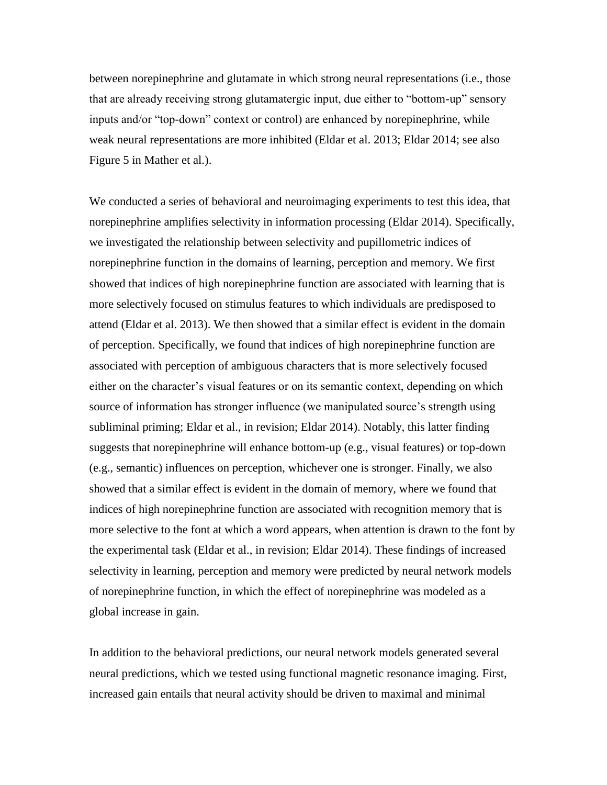between norepinephrine and glutamate in which strong neural representations (i.e., those that are already receiving strong glutamatergic input, due either to "bottom-up" sensory inputs and/or "top-down" context or control) are enhanced by norepinephrine, while weak neural representations are more inhibited (Eldar et al. 2013; Eldar 2014; see also Figure 5 in Mather et al.).

We conducted a series of behavioral and neuroimaging experiments to test this idea, that norepinephrine amplifies selectivity in information processing (Eldar 2014). Specifically, we investigated the relationship between selectivity and pupillometric indices of norepinephrine function in the domains of learning, perception and memory. We first showed that indices of high norepinephrine function are associated with learning that is more selectively focused on stimulus features to which individuals are predisposed to attend (Eldar et al. 2013). We then showed that a similar effect is evident in the domain of perception. Specifically, we found that indices of high norepinephrine function are associated with perception of ambiguous characters that is more selectively focused either on the character's visual features or on its semantic context, depending on which source of information has stronger influence (we manipulated source's strength using subliminal priming; Eldar et al., in revision; Eldar 2014). Notably, this latter finding suggests that norepinephrine will enhance bottom-up (e.g., visual features) or top-down (e.g., semantic) influences on perception, whichever one is stronger. Finally, we also showed that a similar effect is evident in the domain of memory, where we found that indices of high norepinephrine function are associated with recognition memory that is more selective to the font at which a word appears, when attention is drawn to the font by the experimental task (Eldar et al., in revision; Eldar 2014). These findings of increased selectivity in learning, perception and memory were predicted by neural network models of norepinephrine function, in which the effect of norepinephrine was modeled as a global increase in gain.

In addition to the behavioral predictions, our neural network models generated several neural predictions, which we tested using functional magnetic resonance imaging. First, increased gain entails that neural activity should be driven to maximal and minimal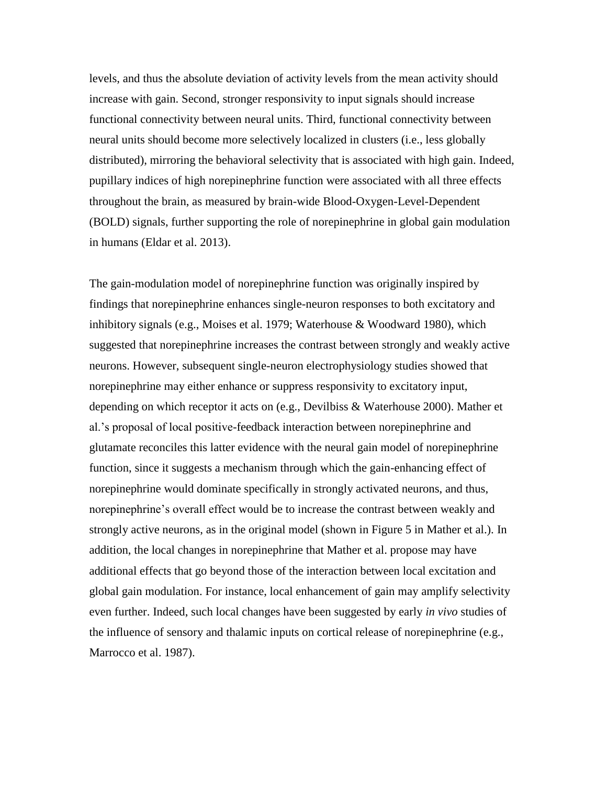levels, and thus the absolute deviation of activity levels from the mean activity should increase with gain. Second, stronger responsivity to input signals should increase functional connectivity between neural units. Third, functional connectivity between neural units should become more selectively localized in clusters (i.e., less globally distributed), mirroring the behavioral selectivity that is associated with high gain. Indeed, pupillary indices of high norepinephrine function were associated with all three effects throughout the brain, as measured by brain-wide Blood-Oxygen-Level-Dependent (BOLD) signals, further supporting the role of norepinephrine in global gain modulation in humans (Eldar et al. 2013).

The gain-modulation model of norepinephrine function was originally inspired by findings that norepinephrine enhances single-neuron responses to both excitatory and inhibitory signals (e.g., Moises et al. 1979; Waterhouse & Woodward 1980), which suggested that norepinephrine increases the contrast between strongly and weakly active neurons. However, subsequent single-neuron electrophysiology studies showed that norepinephrine may either enhance or suppress responsivity to excitatory input, depending on which receptor it acts on (e.g., Devilbiss & Waterhouse 2000). Mather et al.'s proposal of local positive-feedback interaction between norepinephrine and glutamate reconciles this latter evidence with the neural gain model of norepinephrine function, since it suggests a mechanism through which the gain-enhancing effect of norepinephrine would dominate specifically in strongly activated neurons, and thus, norepinephrine's overall effect would be to increase the contrast between weakly and strongly active neurons, as in the original model (shown in Figure 5 in Mather et al.). In addition, the local changes in norepinephrine that Mather et al. propose may have additional effects that go beyond those of the interaction between local excitation and global gain modulation. For instance, local enhancement of gain may amplify selectivity even further. Indeed, such local changes have been suggested by early *in vivo* studies of the influence of sensory and thalamic inputs on cortical release of norepinephrine (e.g., Marrocco et al. 1987).